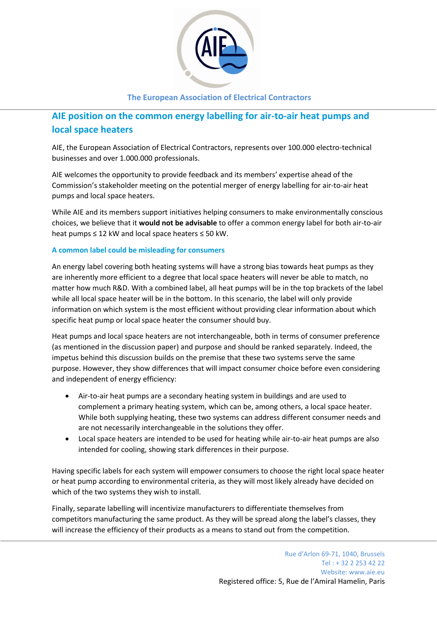

## **The European Association of Electrical Contractors**

# **AIE position on the common energy labelling for air-to-air heat pumps and local space heaters**

AIE, the European Association of Electrical Contractors, represents over 100.000 electro-technical businesses and over 1.000.000 professionals.

AIE welcomes the opportunity to provide feedback and its members' expertise ahead of the Commission's stakeholder meeting on the potential merger of energy labelling for air-to-air heat pumps and local space heaters.

While AIE and its members support initiatives helping consumers to make environmentally conscious choices, we believe that it **would not be advisable** to offer a common energy label for both air-to-air heat pumps  $\leq 12$  kW and local space heaters  $\leq 50$  kW.

## **A common label could be misleading for consumers**

An energy label covering both heating systems will have a strong bias towards heat pumps as they are inherently more efficient to a degree that local space heaters will never be able to match, no matter how much R&D. With a combined label, all heat pumps will be in the top brackets of the label while all local space heater will be in the bottom. In this scenario, the label will only provide information on which system is the most efficient without providing clear information about which specific heat pump or local space heater the consumer should buy.

Heat pumps and local space heaters are not interchangeable, both in terms of consumer preference (as mentioned in the discussion paper) and purpose and should be ranked separately. Indeed, the impetus behind this discussion builds on the premise that these two systems serve the same purpose. However, they show differences that will impact consumer choice before even considering and independent of energy efficiency:

- Air-to-air heat pumps are a secondary heating system in buildings and are used to complement a primary heating system, which can be, among others, a local space heater. While both supplying heating, these two systems can address different consumer needs and are not necessarily interchangeable in the solutions they offer.
- Local space heaters are intended to be used for heating while air-to-air heat pumps are also intended for cooling, showing stark differences in their purpose.

Having specific labels for each system will empower consumers to choose the right local space heater or heat pump according to environmental criteria, as they will most likely already have decided on which of the two systems they wish to install.

Finally, separate labelling will incentivize manufacturers to differentiate themselves from competitors manufacturing the same product. As they will be spread along the label's classes, they will increase the efficiency of their products as a means to stand out from the competition.